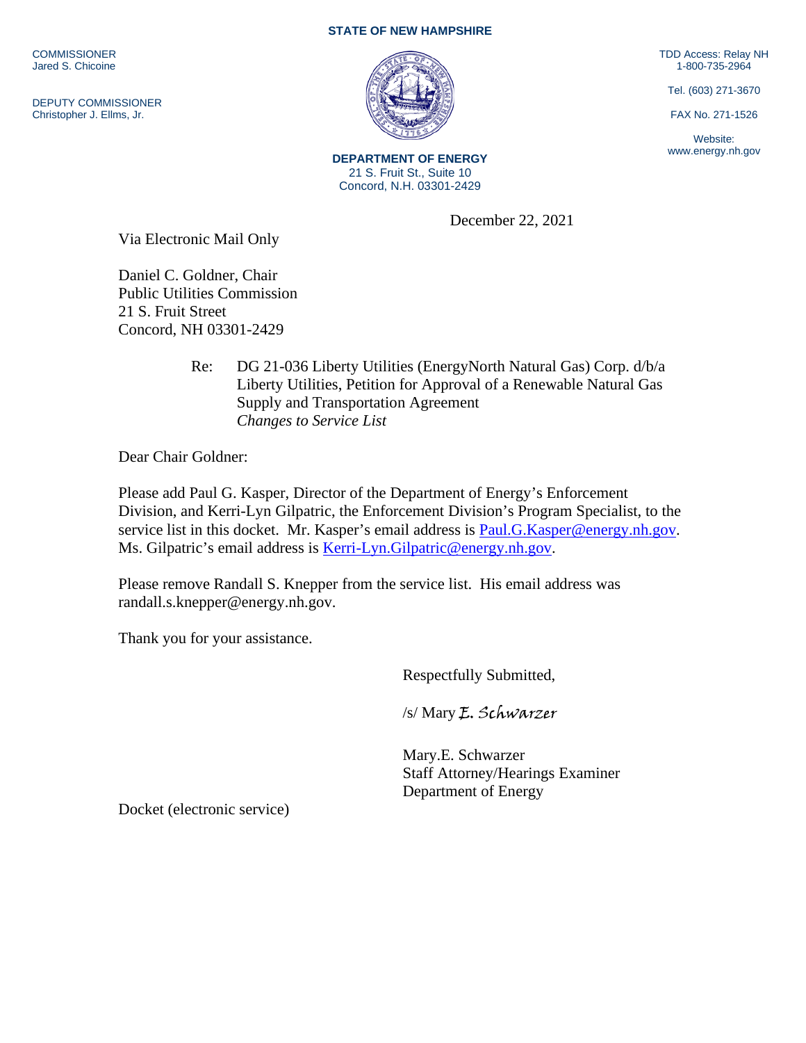**COMMISSIONER** Jared S. Chicoine

DEPUTY COMMISSIONER Christopher J. Ellms, Jr.

## **STATE OF NEW HAMPSHIRE**

TDD Access: Relay NH 1-800-735-2964

Tel. (603) 271-3670

FAX No. 271-1526

Website: www.energy.nh.gov

**DEPARTMENT OF ENERGY** 21 S. Fruit St., Suite 10 Concord, N.H. 03301-2429

December 22, 2021

Via Electronic Mail Only

Daniel C. Goldner, Chair Public Utilities Commission 21 S. Fruit Street Concord, NH 03301-2429

> Re: DG 21-036 Liberty Utilities (EnergyNorth Natural Gas) Corp. d/b/a Liberty Utilities, Petition for Approval of a Renewable Natural Gas Supply and Transportation Agreement  *Changes to Service List*

Dear Chair Goldner:

Please add Paul G. Kasper, Director of the Department of Energy's Enforcement Division, and Kerri-Lyn Gilpatric, the Enforcement Division's Program Specialist, to the service list in this docket. Mr. Kasper's email address is [Paul.G.Kasper@energy.nh.gov.](mailto:Paul.G.Kasper@energy.nh.gov) Ms. Gilpatric's email address is [Kerri-Lyn.Gilpatric@energy.nh.gov.](mailto:Kerri-Lyn.Gilpatric@energy.nh.gov)

Please remove Randall S. Knepper from the service list. His email address was randall.s.knepper@energy.nh.gov.

Thank you for your assistance.

Respectfully Submitted,

/s/ Mary E. Schwarzer

Mary.E. Schwarzer Staff Attorney/Hearings Examiner Department of Energy

Docket (electronic service)